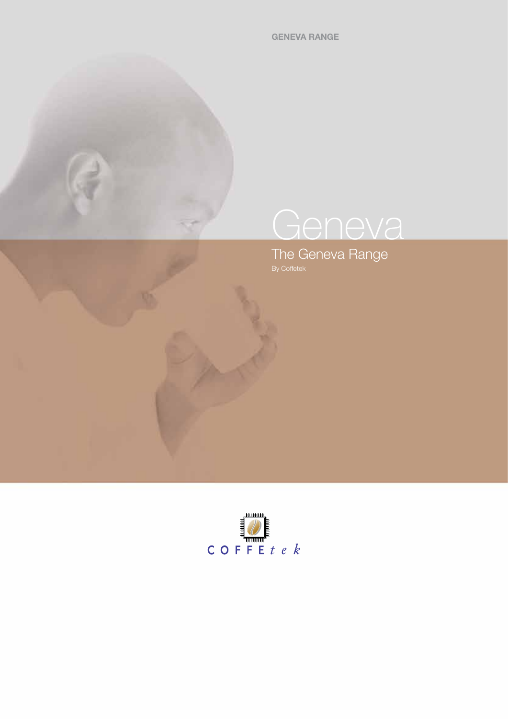**GENEVA RANGE**

# **Geneva**

The Geneva Range By Coffetek

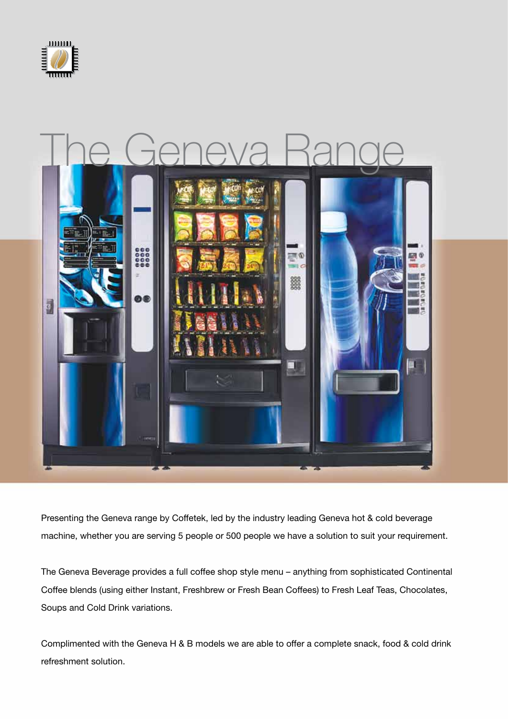



Presenting the Geneva range by Coffetek, led by the industry leading Geneva hot & cold beverage machine, whether you are serving 5 people or 500 people we have a solution to suit your requirement.

The Geneva Beverage provides a full coffee shop style menu – anything from sophisticated Continental Coffee blends (using either Instant, Freshbrew or Fresh Bean Coffees) to Fresh Leaf Teas, Chocolates, Soups and Cold Drink variations.

Complimented with the Geneva H & B models we are able to offer a complete snack, food & cold drink refreshment solution.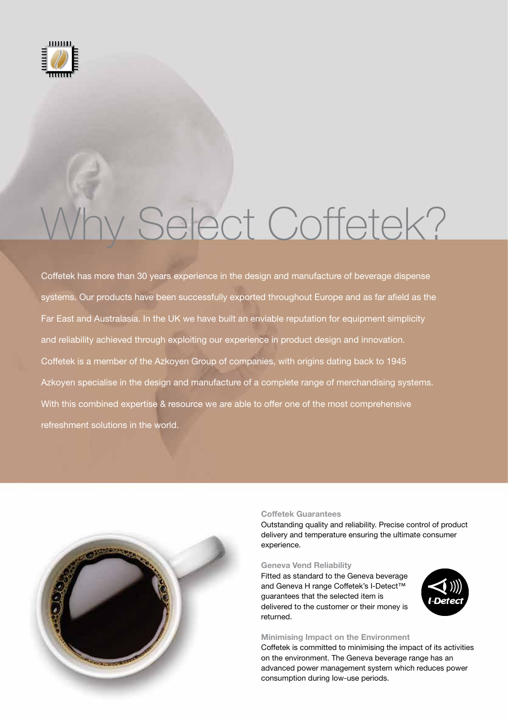

# Why Select Coffetek?

Coffetek has more than 30 years experience in the design and manufacture of beverage dispense systems. Our products have been successfully exported throughout Europe and as far afield as the Far East and Australasia. In the UK we have built an enviable reputation for equipment simplicity and reliability achieved through exploiting our experience in product design and innovation. Coffetek is a member of the Azkoyen Group of companies, with origins dating back to 1945 Azkoyen specialise in the design and manufacture of a complete range of merchandising systems. With this combined expertise & resource we are able to offer one of the most comprehensive refreshment solutions in the world.



## **Coffetek Guarantees**

Outstanding quality and reliability. Precise control of product delivery and temperature ensuring the ultimate consumer experience.

#### **Geneva Vend Reliability**

Fitted as standard to the Geneva beverage and Geneva H range Coffetek's I-Detect™ guarantees that the selected item is delivered to the customer or their money is returned.



#### **Minimising Impact on the Environment**

Coffetek is committed to minimising the impact of its activities on the environment. The Geneva beverage range has an advanced power management system which reduces power consumption during low-use periods.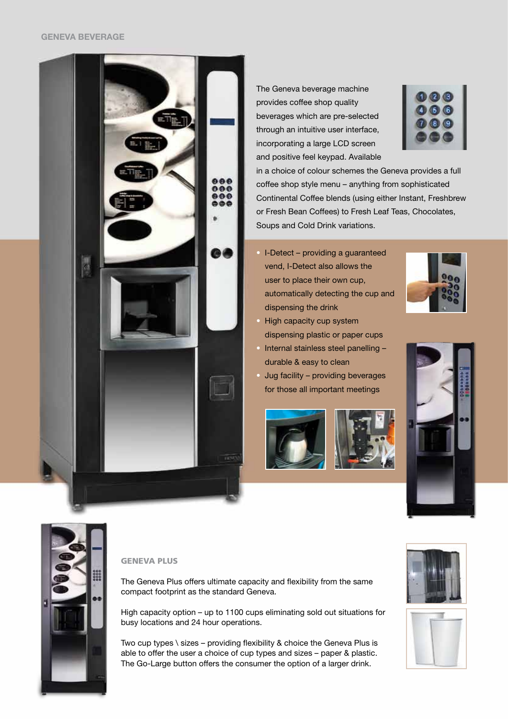

The Geneva beverage machine provides coffee shop quality beverages which are pre-selected through an intuitive user interface, incorporating a large LCD screen and positive feel keypad. Available

in a choice of colour schemes the Geneva provides a full coffee shop style menu – anything from sophisticated Continental Coffee blends (using either Instant, Freshbrew or Fresh Bean Coffees) to Fresh Leaf Teas, Chocolates, Soups and Cold Drink variations.

• I-Detect – providing a guaranteed vend, I-Detect also allows the user to place their own cup, automatically detecting the cup and dispensing the drink



- High capacity cup system dispensing plastic or paper cups
- Internal stainless steel panelling durable & easy to clean
- Jug facility providing beverages for those all important meetings







## **GENEVA PLUS**

The Geneva Plus offers ultimate capacity and flexibility from the same compact footprint as the standard Geneva.

High capacity option – up to 1100 cups eliminating sold out situations for busy locations and 24 hour operations.

Two cup types \ sizes – providing flexibility & choice the Geneva Plus is able to offer the user a choice of cup types and sizes – paper & plastic. The Go-Large button offers the consumer the option of a larger drink.



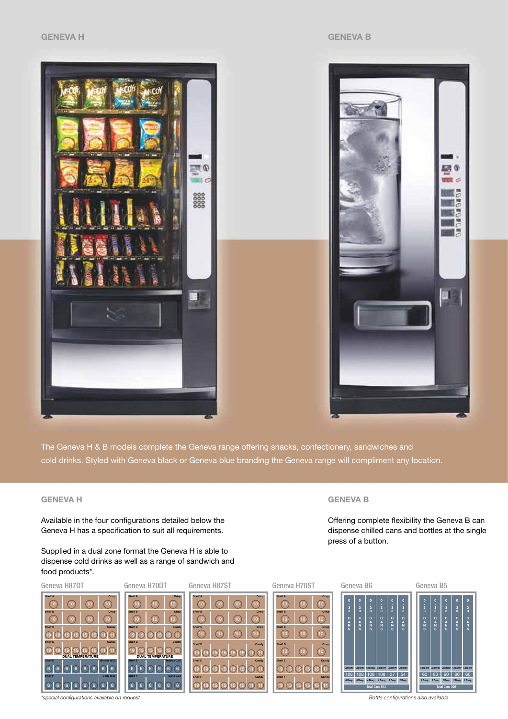**GENEVA B**

press of a button.



The Geneva H & B models complete the Geneva range offering snacks, confectionery, sandwiches and cold drinks. Styled with Geneva black or Geneva blue branding the Geneva range will compliment any location.

# **GENEVA H**

Available in the four configurations detailed below the Geneva H has a specification to suit all requirements.

Supplied in a dual zone format the Geneva H is able to dispense cold drinks as well as a range of sandwich and food products\*.



*\*special configurations available on request Bottle configurations also available*

Offering complete flexibility the Geneva B can dispense chilled cans and bottles at the single